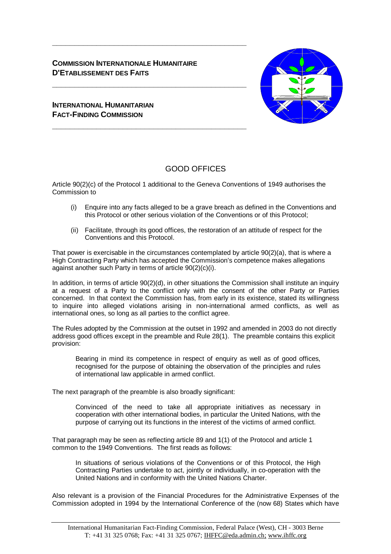# **COMMISSION INTERNATIONALE HUMANITAIRE D'ETABLISSEMENT DES FAITS**

**\_\_\_\_\_\_\_\_\_\_\_\_\_\_\_\_\_\_\_\_\_\_\_\_\_\_\_\_\_\_\_\_\_\_\_\_\_\_\_\_\_\_\_\_** 

**\_\_\_\_\_\_\_\_\_\_\_\_\_\_\_\_\_\_\_\_\_\_\_\_\_\_\_\_\_\_\_\_\_\_\_\_\_\_\_\_\_\_\_\_** 

**\_\_\_\_\_\_\_\_\_\_\_\_\_\_\_\_\_\_\_\_\_\_\_\_\_\_\_\_\_\_\_\_\_\_\_\_\_\_\_\_\_\_\_\_** 



# **INTERNATIONAL HUMANITARIAN FACT-FINDING COMMISSION**

# GOOD OFFICES

Article 90(2)(c) of the Protocol 1 additional to the Geneva Conventions of 1949 authorises the Commission to

- (i) Enquire into any facts alleged to be a grave breach as defined in the Conventions and this Protocol or other serious violation of the Conventions or of this Protocol;
- (ii) Facilitate, through its good offices, the restoration of an attitude of respect for the Conventions and this Protocol.

That power is exercisable in the circumstances contemplated by article 90(2)(a), that is where a High Contracting Party which has accepted the Commission's competence makes allegations against another such Party in terms of article 90(2)(c)(i).

In addition, in terms of article 90(2)(d), in other situations the Commission shall institute an inquiry at a request of a Party to the conflict only with the consent of the other Party or Parties concerned. In that context the Commission has, from early in its existence, stated its willingness to inquire into alleged violations arising in non-international armed conflicts, as well as international ones, so long as all parties to the conflict agree.

The Rules adopted by the Commission at the outset in 1992 and amended in 2003 do not directly address good offices except in the preamble and Rule 28(1). The preamble contains this explicit provision:

Bearing in mind its competence in respect of enquiry as well as of good offices, recognised for the purpose of obtaining the observation of the principles and rules of international law applicable in armed conflict.

The next paragraph of the preamble is also broadly significant:

Convinced of the need to take all appropriate initiatives as necessary in cooperation with other international bodies, in particular the United Nations, with the purpose of carrying out its functions in the interest of the victims of armed conflict.

That paragraph may be seen as reflecting article 89 and 1(1) of the Protocol and article 1 common to the 1949 Conventions. The first reads as follows:

In situations of serious violations of the Conventions or of this Protocol, the High Contracting Parties undertake to act, jointly or individually, in co-operation with the United Nations and in conformity with the United Nations Charter.

Also relevant is a provision of the Financial Procedures for the Administrative Expenses of the Commission adopted in 1994 by the International Conference of the (now 68) States which have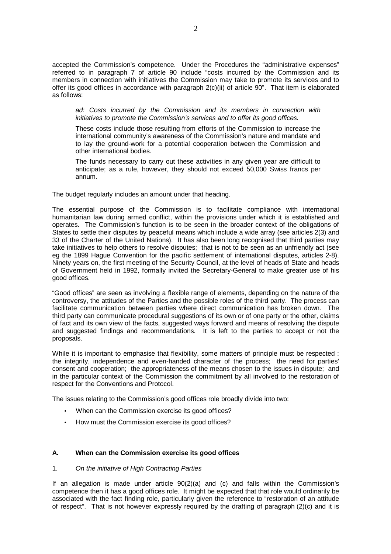accepted the Commission's competence. Under the Procedures the "administrative expenses" referred to in paragraph 7 of article 90 include "costs incurred by the Commission and its members in connection with initiatives the Commission may take to promote its services and to offer its good offices in accordance with paragraph 2(c)(ii) of article 90". That item is elaborated as follows:

*ad: Costs incurred by the Commission and its members in connection with initiatives to promote the Commission's services and to offer its good offices.* 

These costs include those resulting from efforts of the Commission to increase the international community's awareness of the Commission's nature and mandate and to lay the ground-work for a potential cooperation between the Commission and other international bodies.

The funds necessary to carry out these activities in any given year are difficult to anticipate; as a rule, however, they should not exceed 50,000 Swiss francs per annum.

The budget regularly includes an amount under that heading.

The essential purpose of the Commission is to facilitate compliance with international humanitarian law during armed conflict, within the provisions under which it is established and operates. The Commission's function is to be seen in the broader context of the obligations of States to settle their disputes by peaceful means which include a wide array (see articles 2(3) and 33 of the Charter of the United Nations). It has also been long recognised that third parties may take initiatives to help others to resolve disputes; that is not to be seen as an unfriendly act (see eg the 1899 Hague Convention for the pacific settlement of international disputes, articles 2-8). Ninety years on, the first meeting of the Security Council, at the level of heads of State and heads of Government held in 1992, formally invited the Secretary-General to make greater use of his good offices.

"Good offices" are seen as involving a flexible range of elements, depending on the nature of the controversy, the attitudes of the Parties and the possible roles of the third party. The process can facilitate communication between parties where direct communication has broken down. The third party can communicate procedural suggestions of its own or of one party or the other, claims of fact and its own view of the facts, suggested ways forward and means of resolving the dispute and suggested findings and recommendations. It is left to the parties to accept or not the proposals.

While it is important to emphasise that flexibility, some matters of principle must be respected : the integrity, independence and even-handed character of the process; the need for parties' consent and cooperation; the appropriateness of the means chosen to the issues in dispute; and in the particular context of the Commission the commitment by all involved to the restoration of respect for the Conventions and Protocol.

The issues relating to the Commission's good offices role broadly divide into two:

- When can the Commission exercise its good offices?
- How must the Commission exercise its good offices?

#### **A. When can the Commission exercise its good offices**

#### 1. *On the initiative of High Contracting Parties*

If an allegation is made under article 90(2)(a) and (c) and falls within the Commission's competence then it has a good offices role. It might be expected that that role would ordinarily be associated with the fact finding role, particularly given the reference to "restoration of an attitude of respect". That is not however expressly required by the drafting of paragraph (2)(c) and it is